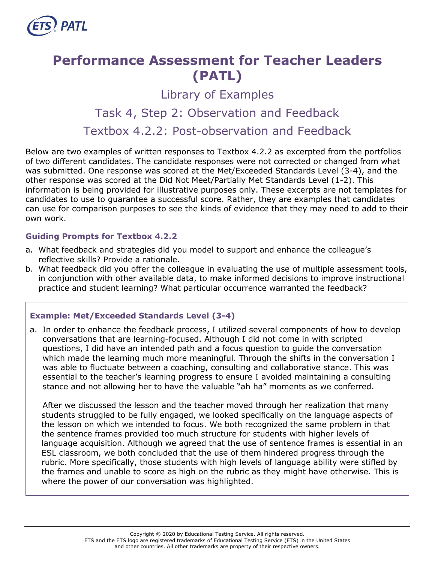

# **Performance Assessment for Teacher Leaders (PATL)**

Library of Examples

# Task 4, Step 2: Observation and Feedback

Textbox 4.2.2: Post-observation and Feedback

Below are two examples of written responses to Textbox 4.2.2 as excerpted from the portfolios of two different candidates. The candidate responses were not corrected or changed from what was submitted. One response was scored at the Met/Exceeded Standards Level (3-4), and the other response was scored at the Did Not Meet/Partially Met Standards Level (1-2). This information is being provided for illustrative purposes only. These excerpts are not templates for candidates to use to guarantee a successful score. Rather, they are examples that candidates can use for comparison purposes to see the kinds of evidence that they may need to add to their own work.

#### **Guiding Prompts for Textbox 4.2.2**

- a. What feedback and strategies did you model to support and enhance the colleague's reflective skills? Provide a rationale.
- b. What feedback did you offer the colleague in evaluating the use of multiple assessment tools, in conjunction with other available data, to make informed decisions to improve instructional practice and student learning? What particular occurrence warranted the feedback?

# **Example: Met/Exceeded Standards Level (3-4)**

a. In order to enhance the feedback process, I utilized several components of how to develop conversations that are learning-focused. Although I did not come in with scripted questions, I did have an intended path and a focus question to guide the conversation which made the learning much more meaningful. Through the shifts in the conversation I was able to fluctuate between a coaching, consulting and collaborative stance. This was essential to the teacher's learning progress to ensure I avoided maintaining a consulting stance and not allowing her to have the valuable "ah ha" moments as we conferred.

After we discussed the lesson and the teacher moved through her realization that many students struggled to be fully engaged, we looked specifically on the language aspects of the lesson on which we intended to focus. We both recognized the same problem in that the sentence frames provided too much structure for students with higher levels of language acquisition. Although we agreed that the use of sentence frames is essential in an ESL classroom, we both concluded that the use of them hindered progress through the rubric. More specifically, those students with high levels of language ability were stifled by the frames and unable to score as high on the rubric as they might have otherwise. This is where the power of our conversation was highlighted.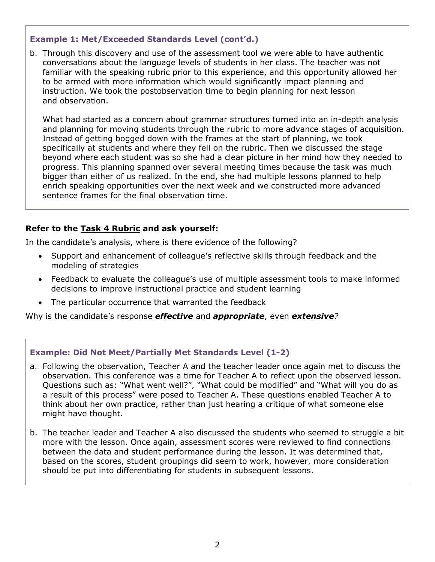# **Example 1: Met/Exceeded Standards Level (cont'd.)**

b. Through this discovery and use of the assessment tool we were able to have authentic conversations about the language levels of students in her class. The teacher was not familiar with the speaking rubric prior to this experience, and this opportunity allowed her to be armed with more information which would significantly impact planning and instruction. We took the postobservation time to begin planning for next lesson and observation.

What had started as a concern about grammar structures turned into an in-depth analysis and planning for moving students through the rubric to more advance stages of acquisition. Instead of getting bogged down with the frames at the start of planning, we took specifically at students and where they fell on the rubric. Then we discussed the stage beyond where each student was so she had a clear picture in her mind how they needed to progress. This planning spanned over several meeting times because the task was much bigger than either of us realized. In the end, she had multiple lessons planned to help enrich speaking opportunities over the next week and we constructed more advanced sentence frames for the final observation time.

#### **Refer to the [Task 4](http://gace.ets.org/s/pdf/gace_teacher_leadership_assessment_task_4_rubric.pdf) Rubric and ask yourself:**

In the candidate's analysis, where is there evidence of the following?

- Support and enhancement of colleague's reflective skills through feedback and the modeling of strategies
- Feedback to evaluate the colleague's use of multiple assessment tools to make informed decisions to improve instructional practice and student learning
- The particular occurrence that warranted the feedback

Why is the candidate's response *effective* and *appropriate*, even *extensive?*

#### **Example: Did Not Meet/Partially Met Standards Level (1-2)**

- a. Following the observation, Teacher A and the teacher leader once again met to discuss the observation. This conference was a time for Teacher A to reflect upon the observed lesson. Questions such as: "What went well?", "What could be modified" and "What will you do as a result of this process" were posed to Teacher A. These questions enabled Teacher A to think about her own practice, rather than just hearing a critique of what someone else might have thought.
- b. The teacher leader and Teacher A also discussed the students who seemed to struggle a bit more with the lesson. Once again, assessment scores were reviewed to find connections between the data and student performance during the lesson. It was determined that, based on the scores, student groupings did seem to work, however, more consideration should be put into differentiating for students in subsequent lessons.